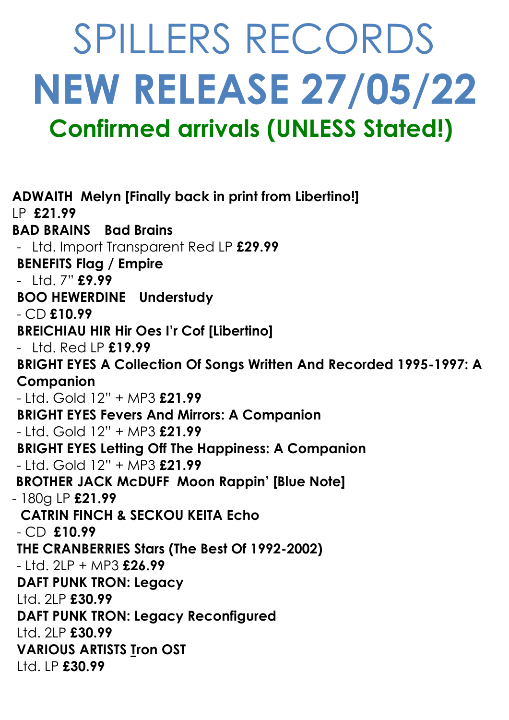# SPILLERS RECORDS **NEW RELEASE 27/05/22 Confirmed arrivals (UNLESS Stated!)**

**ADWAITH Melyn [Finally back in print from Libertino!]** LP **£21.99 BAD BRAINS Bad Brains** - Ltd. Import Transparent Red LP **£29.99 BENEFITS Flag / Empire** - Ltd. 7" **£9.99 BOO HEWERDINE Understudy** - CD **£10.99 BREICHIAU HIR Hir Oes I'r Cof [Libertino]** - Ltd. Red LP **£19.99 BRIGHT EYES A Collection Of Songs Written And Recorded 1995-1997: A Companion**  - Ltd. Gold 12" + MP3 **£21.99 BRIGHT EYES Fevers And Mirrors: A Companion** - Ltd. Gold 12" + MP3 **£21.99 BRIGHT EYES Letting Off The Happiness: A Companion** - Ltd. Gold 12" + MP3 **£21.99 BROTHER JACK McDUFF Moon Rappin' [Blue Note]** - 180g LP **£21.99 CATRIN FINCH & SECKOU KEITA Echo** - CD **£10.99 THE CRANBERRIES Stars (The Best Of 1992-2002)** - Ltd. 2LP + MP3 **£26.99 DAFT PUNK TRON: Legacy** Ltd. 2LP **£30.99 DAFT PUNK TRON: Legacy Reconfigured**  Ltd. 2LP **£30.99 VARIOUS ARTISTS Tron OST** Ltd. LP **£30.99**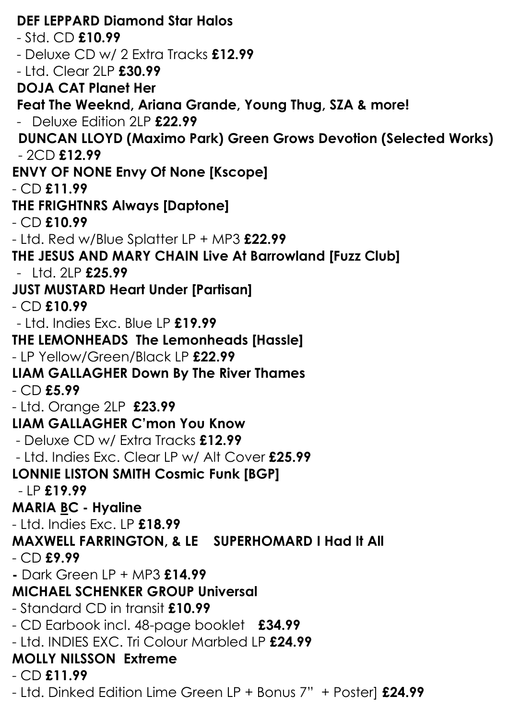**DEF LEPPARD Diamond Star Halos** - Std. CD **£10.99** - Deluxe CD w/ 2 Extra Tracks **£12.99** - Ltd. Clear 2LP **£30.99 DOJA CAT Planet Her Feat The Weeknd, Ariana Grande, Young Thug, SZA & more!** - Deluxe Fdition 2LP **£22.99 DUNCAN LLOYD (Maximo Park) Green Grows Devotion (Selected Works)** - 2CD **£12.99 ENVY OF NONE Envy Of None [Kscope]** - CD **£11.99 THE FRIGHTNRS Always [Daptone]** - CD **£10.99** - Ltd. Red w/Blue Splatter LP + MP3 **£22.99 THE JESUS AND MARY CHAIN Live At Barrowland [Fuzz Club]** - Ltd. 2LP **£25.99 JUST MUSTARD Heart Under [Partisan]** - CD **£10.99** - Ltd. Indies Exc. Blue LP **£19.99 THE LEMONHEADS The Lemonheads [Hassle]** - LP Yellow/Green/Black LP **£22.99 LIAM GALLAGHER Down By The River Thames** - CD **£5.99**  - Ltd. Orange 2LP **£23.99 LIAM GALLAGHER C'mon You Know** - Deluxe CD w/ Extra Tracks **£12.99**  - Ltd. Indies Exc. Clear LP w/ Alt Cover **£25.99 LONNIE LISTON SMITH Cosmic Funk [BGP]** - LP **£19.99 MARIA BC - Hyaline** - Ltd. Indies Exc. LP **£18.99 MAXWELL FARRINGTON, & LE SUPERHOMARD I Had It All** - CD **£9.99 -** Dark Green LP + MP3 **£14.99 MICHAEL SCHENKER GROUP Universal** - Standard CD in transit **£10.99**  - CD Earbook incl. 48-page booklet **£34.99** - Ltd. INDIES EXC. Tri Colour Marbled LP **£24.99 MOLLY NILSSON Extreme** - CD **£11.99** - Ltd. Dinked Edition Lime Green LP + Bonus 7" + Poster] **£24.99**